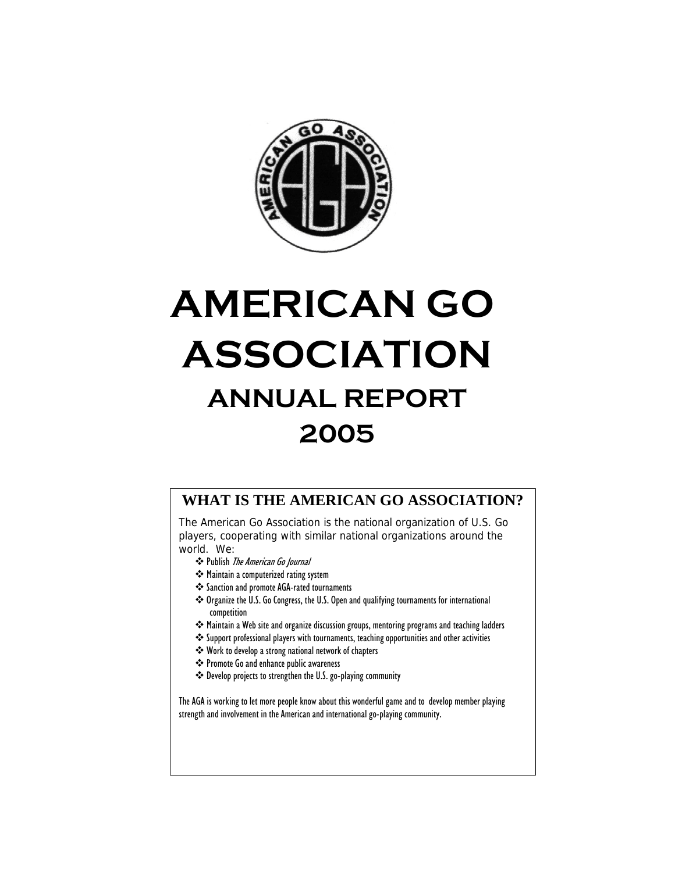

# **AMERICAN GO ASSOCIATION ANNUAL REPORT 2005**

# **WHAT IS THE AMERICAN GO ASSOCIATION?**

The American Go Association is the national organization of U.S. Go players, cooperating with similar national organizations around the world. We:

- Publish The American Go Journal
- **❖** Maintain a computerized rating system
- Sanction and promote AGA-rated tournaments
- \* Organize the U.S. Go Congress, the U.S. Open and qualifying tournaments for international competition
- Maintain a Web site and organize discussion groups, mentoring programs and teaching ladders
- Support professional players with tournaments, teaching opportunities and other activities
- Work to develop a strong national network of chapters
- Promote Go and enhance public awareness
- Develop projects to strengthen the U.S. go-playing community

The AGA is working to let more people know about this wonderful game and to develop member playing strength and involvement in the American and international go-playing community.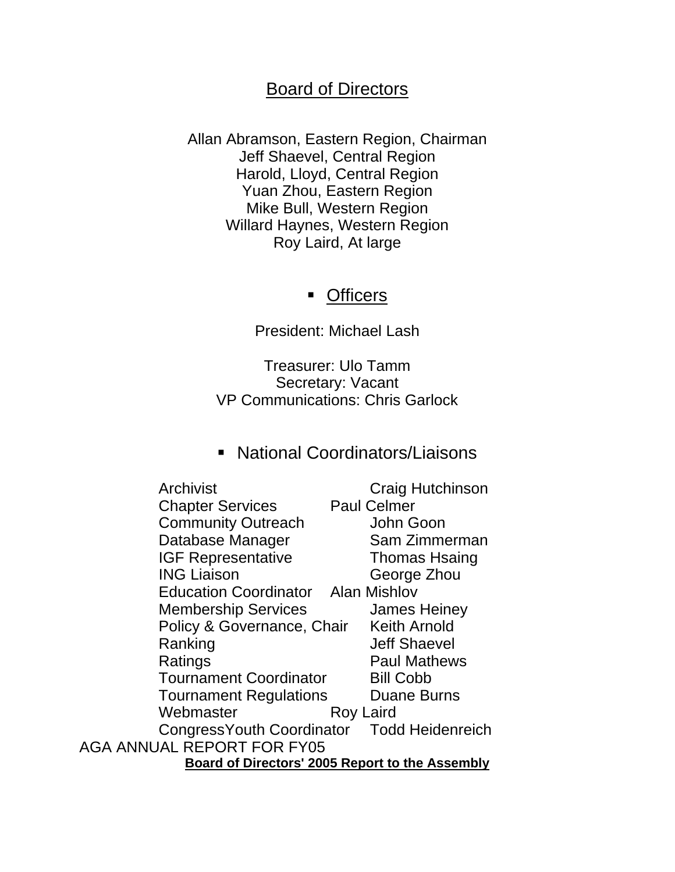# Board of Directors

Allan Abramson, Eastern Region, Chairman Jeff Shaevel, Central Region Harold, Lloyd, Central Region Yuan Zhou, Eastern Region Mike Bull, Western Region Willard Haynes, Western Region Roy Laird, At large

# **-** Officers

President: Michael Lash

Treasurer: Ulo Tamm Secretary: Vacant VP Communications: Chris Garlock

# National Coordinators/Liaisons

| Archivist                                       |                  | Craig Hutchinson     |  |  |
|-------------------------------------------------|------------------|----------------------|--|--|
| <b>Chapter Services</b>                         |                  | <b>Paul Celmer</b>   |  |  |
| <b>Community Outreach</b>                       |                  | John Goon            |  |  |
| Database Manager                                |                  | Sam Zimmerman        |  |  |
| <b>IGF Representative</b>                       |                  | <b>Thomas Hsaing</b> |  |  |
| <b>ING Liaison</b>                              |                  | George Zhou          |  |  |
| <b>Education Coordinator</b> Alan Mishlov       |                  |                      |  |  |
| <b>Membership Services</b>                      |                  | <b>James Heiney</b>  |  |  |
| Policy & Governance, Chair                      |                  | <b>Keith Arnold</b>  |  |  |
| Ranking                                         |                  | <b>Jeff Shaevel</b>  |  |  |
| Ratings                                         |                  | <b>Paul Mathews</b>  |  |  |
| <b>Tournament Coordinator</b>                   |                  | <b>Bill Cobb</b>     |  |  |
| <b>Tournament Regulations</b>                   |                  | <b>Duane Burns</b>   |  |  |
| Webmaster                                       | <b>Roy Laird</b> |                      |  |  |
| Congress Youth Coordinator                      |                  | Todd Heidenreich     |  |  |
| <b>ANNUAL REPORT FOR FY05</b>                   |                  |                      |  |  |
| Board of Directors' 2005 Report to the Assembly |                  |                      |  |  |

AGA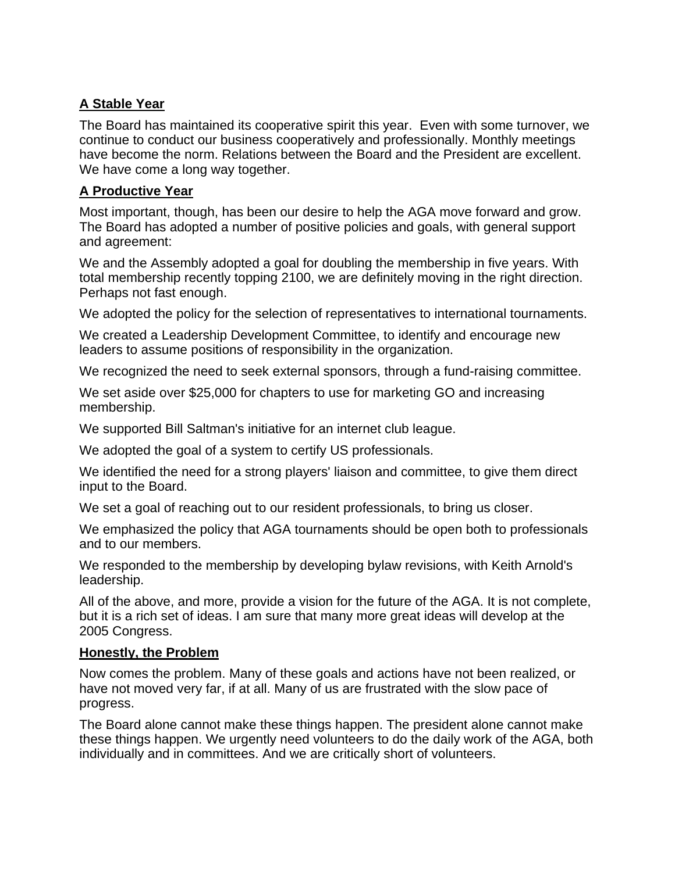# **A Stable Year**

The Board has maintained its cooperative spirit this year. Even with some turnover, we continue to conduct our business cooperatively and professionally. Monthly meetings have become the norm. Relations between the Board and the President are excellent. We have come a long way together.

# **A Productive Year**

Most important, though, has been our desire to help the AGA move forward and grow. The Board has adopted a number of positive policies and goals, with general support and agreement:

We and the Assembly adopted a goal for doubling the membership in five years. With total membership recently topping 2100, we are definitely moving in the right direction. Perhaps not fast enough.

We adopted the policy for the selection of representatives to international tournaments.

We created a Leadership Development Committee, to identify and encourage new leaders to assume positions of responsibility in the organization.

We recognized the need to seek external sponsors, through a fund-raising committee.

We set aside over \$25,000 for chapters to use for marketing GO and increasing membership.

We supported Bill Saltman's initiative for an internet club league.

We adopted the goal of a system to certify US professionals.

We identified the need for a strong players' liaison and committee, to give them direct input to the Board.

We set a goal of reaching out to our resident professionals, to bring us closer.

We emphasized the policy that AGA tournaments should be open both to professionals and to our members.

We responded to the membership by developing bylaw revisions, with Keith Arnold's leadership.

All of the above, and more, provide a vision for the future of the AGA. It is not complete, but it is a rich set of ideas. I am sure that many more great ideas will develop at the 2005 Congress.

# **Honestly, the Problem**

Now comes the problem. Many of these goals and actions have not been realized, or have not moved very far, if at all. Many of us are frustrated with the slow pace of progress.

The Board alone cannot make these things happen. The president alone cannot make these things happen. We urgently need volunteers to do the daily work of the AGA, both individually and in committees. And we are critically short of volunteers.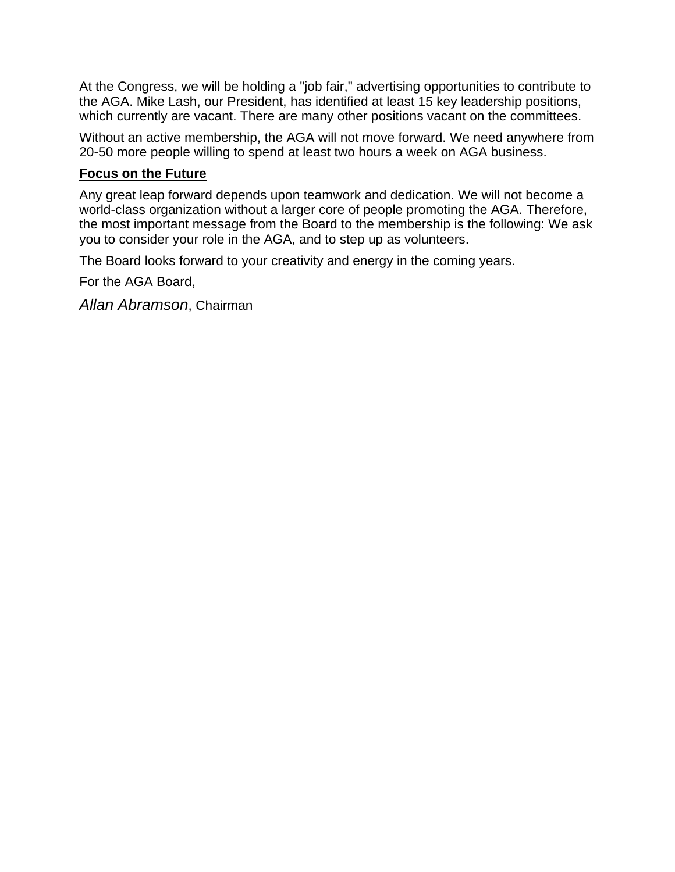At the Congress, we will be holding a "job fair," advertising opportunities to contribute to the AGA. Mike Lash, our President, has identified at least 15 key leadership positions, which currently are vacant. There are many other positions vacant on the committees.

Without an active membership, the AGA will not move forward. We need anywhere from 20-50 more people willing to spend at least two hours a week on AGA business.

# **Focus on the Future**

Any great leap forward depends upon teamwork and dedication. We will not become a world-class organization without a larger core of people promoting the AGA. Therefore, the most important message from the Board to the membership is the following: We ask you to consider your role in the AGA, and to step up as volunteers.

The Board looks forward to your creativity and energy in the coming years.

For the AGA Board,

*Allan Abramson*, Chairman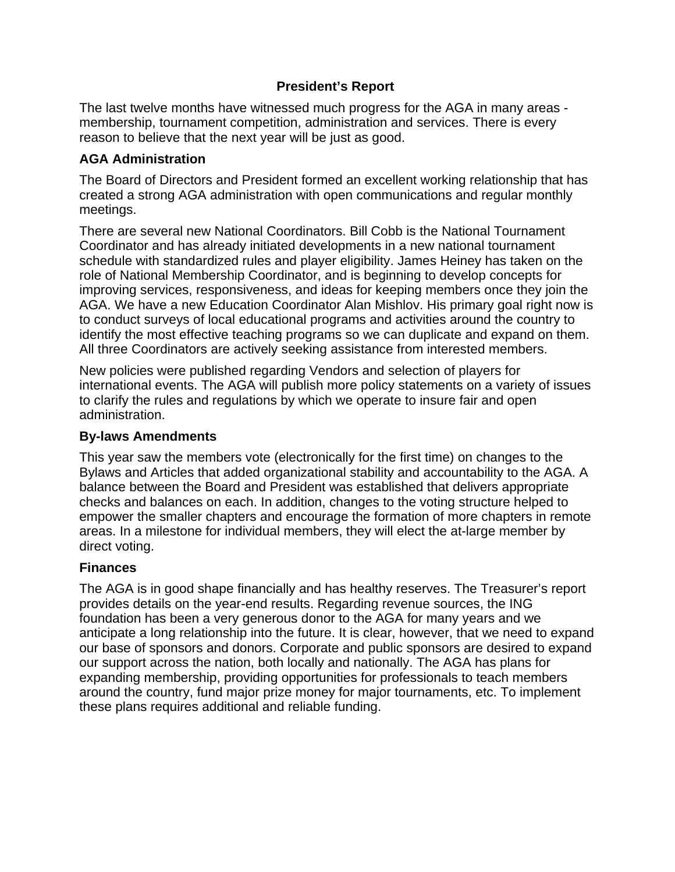# **President's Report**

The last twelve months have witnessed much progress for the AGA in many areas membership, tournament competition, administration and services. There is every reason to believe that the next year will be just as good.

# **AGA Administration**

The Board of Directors and President formed an excellent working relationship that has created a strong AGA administration with open communications and regular monthly meetings.

There are several new National Coordinators. Bill Cobb is the National Tournament Coordinator and has already initiated developments in a new national tournament schedule with standardized rules and player eligibility. James Heiney has taken on the role of National Membership Coordinator, and is beginning to develop concepts for improving services, responsiveness, and ideas for keeping members once they join the AGA. We have a new Education Coordinator Alan Mishlov. His primary goal right now is to conduct surveys of local educational programs and activities around the country to identify the most effective teaching programs so we can duplicate and expand on them. All three Coordinators are actively seeking assistance from interested members.

New policies were published regarding Vendors and selection of players for international events. The AGA will publish more policy statements on a variety of issues to clarify the rules and regulations by which we operate to insure fair and open administration.

# **By-laws Amendments**

This year saw the members vote (electronically for the first time) on changes to the Bylaws and Articles that added organizational stability and accountability to the AGA. A balance between the Board and President was established that delivers appropriate checks and balances on each. In addition, changes to the voting structure helped to empower the smaller chapters and encourage the formation of more chapters in remote areas. In a milestone for individual members, they will elect the at-large member by direct voting.

# **Finances**

The AGA is in good shape financially and has healthy reserves. The Treasurer's report provides details on the year-end results. Regarding revenue sources, the ING foundation has been a very generous donor to the AGA for many years and we anticipate a long relationship into the future. It is clear, however, that we need to expand our base of sponsors and donors. Corporate and public sponsors are desired to expand our support across the nation, both locally and nationally. The AGA has plans for expanding membership, providing opportunities for professionals to teach members around the country, fund major prize money for major tournaments, etc. To implement these plans requires additional and reliable funding.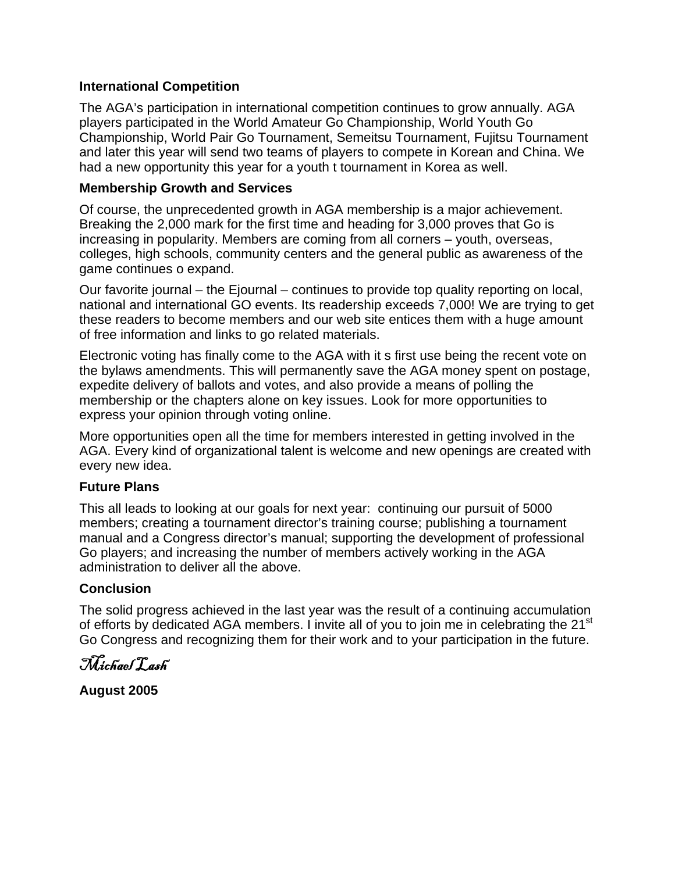# **International Competition**

The AGA's participation in international competition continues to grow annually. AGA players participated in the World Amateur Go Championship, World Youth Go Championship, World Pair Go Tournament, Semeitsu Tournament, Fujitsu Tournament and later this year will send two teams of players to compete in Korean and China. We had a new opportunity this year for a youth t tournament in Korea as well.

# **Membership Growth and Services**

Of course, the unprecedented growth in AGA membership is a major achievement. Breaking the 2,000 mark for the first time and heading for 3,000 proves that Go is increasing in popularity. Members are coming from all corners – youth, overseas, colleges, high schools, community centers and the general public as awareness of the game continues o expand.

Our favorite journal – the Ejournal – continues to provide top quality reporting on local, national and international GO events. Its readership exceeds 7,000! We are trying to get these readers to become members and our web site entices them with a huge amount of free information and links to go related materials.

Electronic voting has finally come to the AGA with it s first use being the recent vote on the bylaws amendments. This will permanently save the AGA money spent on postage, expedite delivery of ballots and votes, and also provide a means of polling the membership or the chapters alone on key issues. Look for more opportunities to express your opinion through voting online.

More opportunities open all the time for members interested in getting involved in the AGA. Every kind of organizational talent is welcome and new openings are created with every new idea.

#### **Future Plans**

This all leads to looking at our goals for next year: continuing our pursuit of 5000 members; creating a tournament director's training course; publishing a tournament manual and a Congress director's manual; supporting the development of professional Go players; and increasing the number of members actively working in the AGA administration to deliver all the above.

# **Conclusion**

The solid progress achieved in the last year was the result of a continuing accumulation of efforts by dedicated AGA members. I invite all of you to join me in celebrating the 21<sup>st</sup> Go Congress and recognizing them for their work and to your participation in the future.

Michael Lash

**August 2005**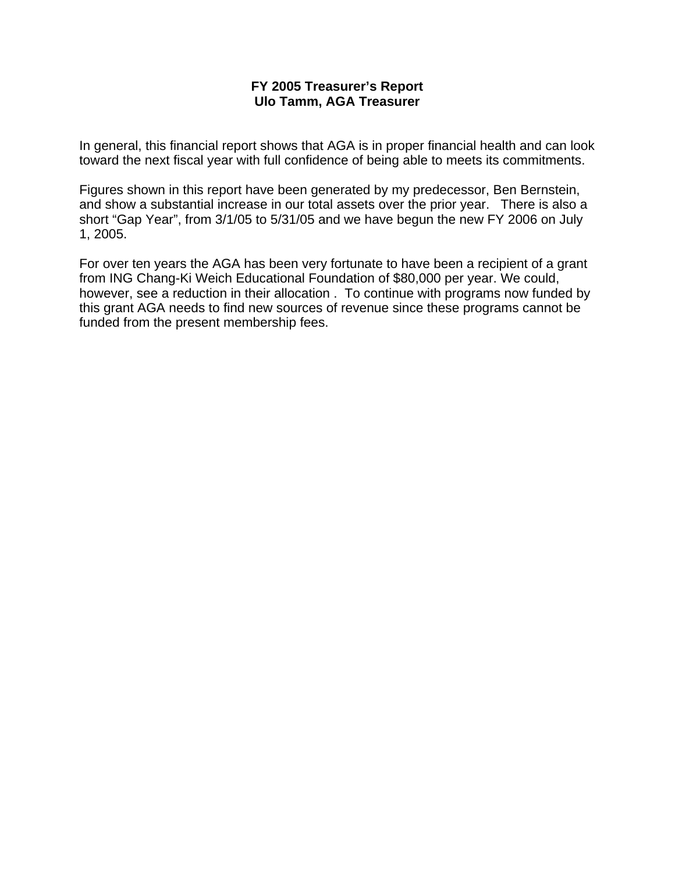#### **FY 2005 Treasurer's Report Ulo Tamm, AGA Treasurer**

In general, this financial report shows that AGA is in proper financial health and can look toward the next fiscal year with full confidence of being able to meets its commitments.

Figures shown in this report have been generated by my predecessor, Ben Bernstein, and show a substantial increase in our total assets over the prior year. There is also a short "Gap Year", from 3/1/05 to 5/31/05 and we have begun the new FY 2006 on July 1, 2005.

For over ten years the AGA has been very fortunate to have been a recipient of a grant from ING Chang-Ki Weich Educational Foundation of \$80,000 per year. We could, however, see a reduction in their allocation . To continue with programs now funded by this grant AGA needs to find new sources of revenue since these programs cannot be funded from the present membership fees.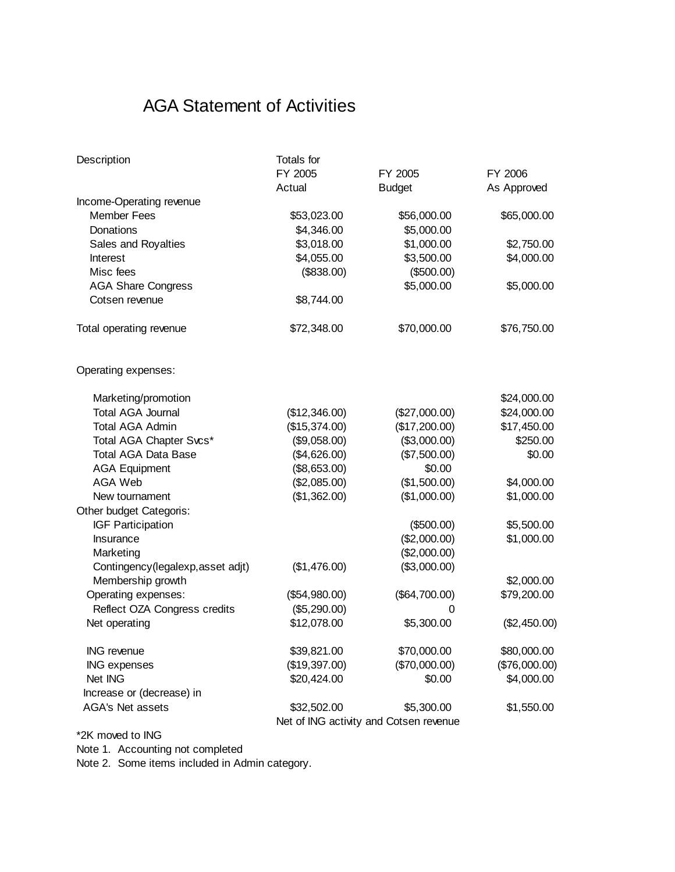# AGA Statement of Activities

| Description                       | Totals for    |                                        |               |  |  |
|-----------------------------------|---------------|----------------------------------------|---------------|--|--|
|                                   | FY 2005       | FY 2005                                | FY 2006       |  |  |
|                                   | Actual        | <b>Budget</b>                          | As Approved   |  |  |
| Income-Operating revenue          |               |                                        |               |  |  |
| <b>Member Fees</b>                | \$53,023.00   | \$56,000.00                            | \$65,000.00   |  |  |
| Donations                         | \$4,346.00    | \$5,000.00                             |               |  |  |
| Sales and Royalties               | \$3,018.00    | \$1,000.00                             | \$2,750.00    |  |  |
| <b>Interest</b>                   | \$4,055.00    | \$3,500.00                             | \$4,000.00    |  |  |
| Misc fees                         | (\$838.00)    | (\$500.00)                             |               |  |  |
| <b>AGA Share Congress</b>         |               | \$5,000.00                             | \$5,000.00    |  |  |
| Cotsen revenue                    | \$8,744.00    |                                        |               |  |  |
| Total operating revenue           | \$72,348.00   | \$70,000.00                            | \$76,750.00   |  |  |
| Operating expenses:               |               |                                        |               |  |  |
| Marketing/promotion               |               |                                        | \$24,000.00   |  |  |
| <b>Total AGA Journal</b>          | (\$12,346.00) | (\$27,000.00)                          | \$24,000.00   |  |  |
| <b>Total AGA Admin</b>            | (\$15,374.00) | (\$17,200.00)                          | \$17,450.00   |  |  |
| Total AGA Chapter Svcs*           | (\$9,058.00)  | (\$3,000.00)                           | \$250.00      |  |  |
| <b>Total AGA Data Base</b>        | (\$4,626.00)  | (\$7,500.00)                           | \$0.00        |  |  |
| <b>AGA Equipment</b>              | (\$8,653.00)  | \$0.00                                 |               |  |  |
| <b>AGA Web</b>                    | (\$2,085.00)  | (\$1,500.00)                           | \$4,000.00    |  |  |
| New tournament                    | (\$1,362.00)  | (\$1,000.00)                           | \$1,000.00    |  |  |
| Other budget Categoris:           |               |                                        |               |  |  |
| <b>IGF Participation</b>          |               | (\$500.00)                             | \$5,500.00    |  |  |
| Insurance                         |               | (\$2,000.00)                           | \$1,000.00    |  |  |
| Marketing                         |               | (\$2,000.00)                           |               |  |  |
| Contingency(legalexp, asset adjt) | (\$1,476.00)  | (\$3,000.00)                           |               |  |  |
| Membership growth                 |               |                                        | \$2,000.00    |  |  |
| Operating expenses:               | (\$54,980.00) | (\$64,700.00)                          | \$79,200.00   |  |  |
| Reflect OZA Congress credits      | (\$5,290.00)  | 0                                      |               |  |  |
| Net operating                     | \$12,078.00   | \$5,300.00                             | (\$2,450.00)  |  |  |
| ING revenue                       | \$39,821.00   | \$70,000.00                            | \$80,000.00   |  |  |
| <b>ING expenses</b>               | (\$19,397.00) | (\$70,000.00)                          | (\$76,000.00) |  |  |
| Net ING                           | \$20,424.00   | \$0.00                                 | \$4,000.00    |  |  |
| Increase or (decrease) in         |               |                                        |               |  |  |
| AGA's Net assets                  | \$32,502.00   | \$5,300.00                             | \$1,550.00    |  |  |
|                                   |               | Net of ING activity and Cotsen revenue |               |  |  |
| *2K moved to ING                  |               |                                        |               |  |  |

Note 1. Accounting not completed

Note 2. Some items included in Admin category.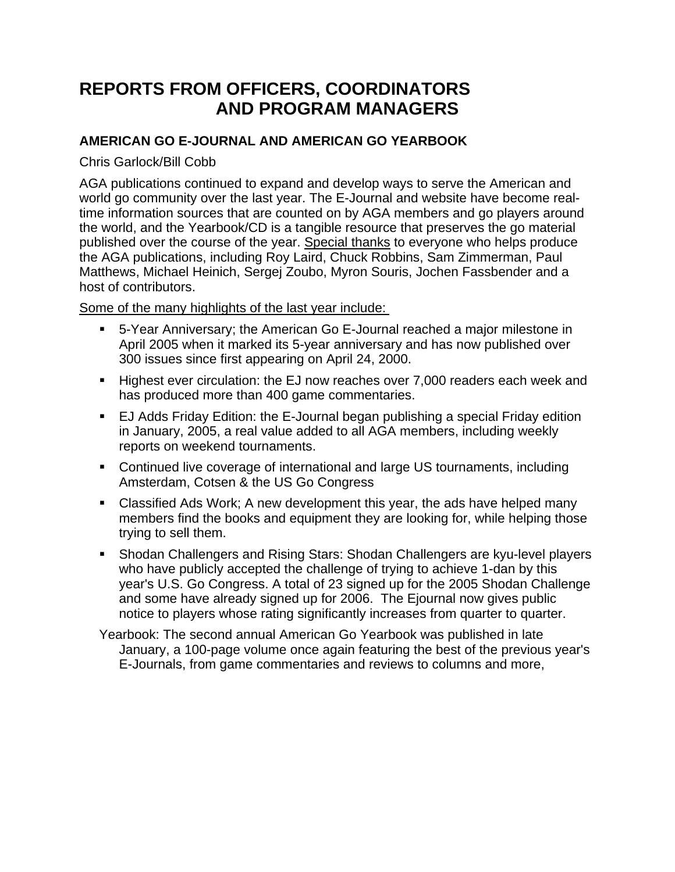# **REPORTS FROM OFFICERS, COORDINATORS AND PROGRAM MANAGERS**

# **AMERICAN GO E-JOURNAL AND AMERICAN GO YEARBOOK**

Chris Garlock/Bill Cobb

AGA publications continued to expand and develop ways to serve the American and world go community over the last year. The E-Journal and website have become realtime information sources that are counted on by AGA members and go players around the world, and the Yearbook/CD is a tangible resource that preserves the go material published over the course of the year. Special thanks to everyone who helps produce the AGA publications, including Roy Laird, Chuck Robbins, Sam Zimmerman, Paul Matthews, Michael Heinich, Sergej Zoubo, Myron Souris, Jochen Fassbender and a host of contributors.

Some of the many highlights of the last year include:

- 5-Year Anniversary; the American Go E-Journal reached a major milestone in April 2005 when it marked its 5-year anniversary and has now published over 300 issues since first appearing on April 24, 2000.
- Highest ever circulation: the EJ now reaches over 7,000 readers each week and has produced more than 400 game commentaries.
- EJ Adds Friday Edition: the E-Journal began publishing a special Friday edition in January, 2005, a real value added to all AGA members, including weekly reports on weekend tournaments.
- Continued live coverage of international and large US tournaments, including Amsterdam, Cotsen & the US Go Congress
- Classified Ads Work; A new development this year, the ads have helped many members find the books and equipment they are looking for, while helping those trying to sell them.
- Shodan Challengers and Rising Stars: Shodan Challengers are kyu-level players who have publicly accepted the challenge of trying to achieve 1-dan by this year's U.S. Go Congress. A total of 23 signed up for the 2005 Shodan Challenge and some have already signed up for 2006. The Ejournal now gives public notice to players whose rating significantly increases from quarter to quarter.

Yearbook: The second annual American Go Yearbook was published in late January, a 100-page volume once again featuring the best of the previous year's E-Journals, from game commentaries and reviews to columns and more,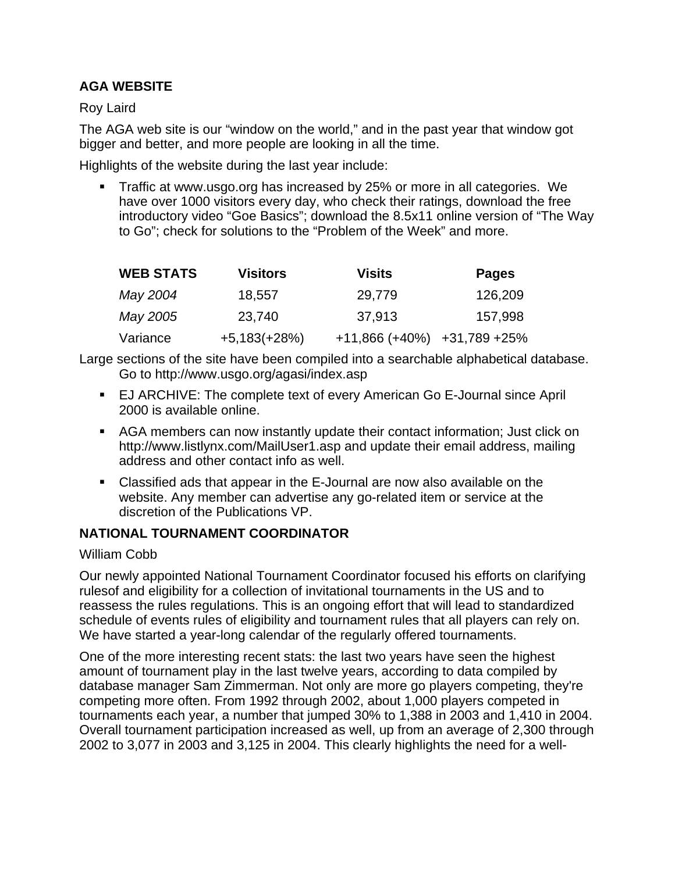# **AGA WEBSITE**

Roy Laird

The AGA web site is our "window on the world," and in the past year that window got bigger and better, and more people are looking in all the time.

Highlights of the website during the last year include:

 Traffic at www.usgo.org has increased by 25% or more in all categories. We have over 1000 visitors every day, who check their ratings, download the free introductory video "Goe Basics"; download the 8.5x11 online version of "The Way to Go"; check for solutions to the "Problem of the Week" and more.

| <b>WEB STATS</b> | <b>Visitors</b> | <b>Visits</b>    | <b>Pages</b> |
|------------------|-----------------|------------------|--------------|
| May 2004         | 18,557          | 29,779           | 126,209      |
| May 2005         | 23.740          | 37,913           | 157,998      |
| Variance         | $+5,183(+28%)$  | $+11,866 (+40%)$ | +31,789 +25% |

Large sections of the site have been compiled into a searchable alphabetical database. Go to http://www.usgo.org/agasi/index.asp

- EJ ARCHIVE: The complete text of every American Go E-Journal since April 2000 is available online.
- AGA members can now instantly update their contact information; Just click on http://www.listlynx.com/MailUser1.asp and update their email address, mailing address and other contact info as well.
- Classified ads that appear in the E-Journal are now also available on the website. Any member can advertise any go-related item or service at the discretion of the Publications VP.

# **NATIONAL TOURNAMENT COORDINATOR**

# William Cobb

Our newly appointed National Tournament Coordinator focused his efforts on clarifying rulesof and eligibility for a collection of invitational tournaments in the US and to reassess the rules regulations. This is an ongoing effort that will lead to standardized schedule of events rules of eligibility and tournament rules that all players can rely on. We have started a year-long calendar of the regularly offered tournaments.

One of the more interesting recent stats: the last two years have seen the highest amount of tournament play in the last twelve years, according to data compiled by database manager Sam Zimmerman. Not only are more go players competing, they're competing more often. From 1992 through 2002, about 1,000 players competed in tournaments each year, a number that jumped 30% to 1,388 in 2003 and 1,410 in 2004. Overall tournament participation increased as well, up from an average of 2,300 through 2002 to 3,077 in 2003 and 3,125 in 2004. This clearly highlights the need for a well-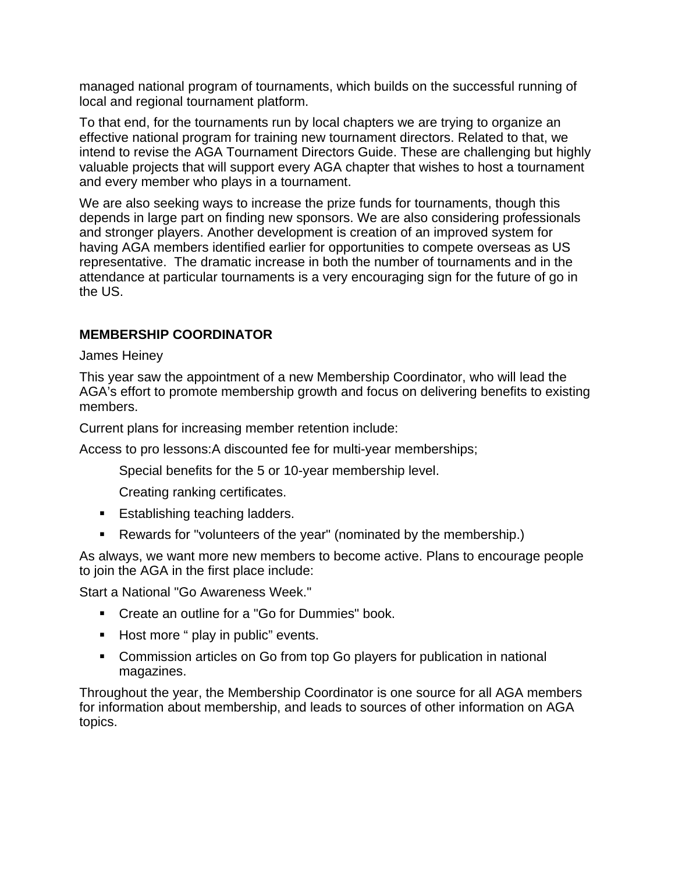managed national program of tournaments, which builds on the successful running of local and regional tournament platform.

To that end, for the tournaments run by local chapters we are trying to organize an effective national program for training new tournament directors. Related to that, we intend to revise the AGA Tournament Directors Guide. These are challenging but highly valuable projects that will support every AGA chapter that wishes to host a tournament and every member who plays in a tournament.

We are also seeking ways to increase the prize funds for tournaments, though this depends in large part on finding new sponsors. We are also considering professionals and stronger players. Another development is creation of an improved system for having AGA members identified earlier for opportunities to compete overseas as US representative. The dramatic increase in both the number of tournaments and in the attendance at particular tournaments is a very encouraging sign for the future of go in the US.

# **MEMBERSHIP COORDINATOR**

James Heiney

This year saw the appointment of a new Membership Coordinator, who will lead the AGA's effort to promote membership growth and focus on delivering benefits to existing members.

Current plans for increasing member retention include:

Access to pro lessons:A discounted fee for multi-year memberships;

Special benefits for the 5 or 10-year membership level.

Creating ranking certificates.

- **Establishing teaching ladders.**
- Rewards for "volunteers of the year" (nominated by the membership.)

As always, we want more new members to become active. Plans to encourage people to join the AGA in the first place include:

Start a National "Go Awareness Week."

- Create an outline for a "Go for Dummies" book.
- Host more " play in public" events.
- Commission articles on Go from top Go players for publication in national magazines.

Throughout the year, the Membership Coordinator is one source for all AGA members for information about membership, and leads to sources of other information on AGA topics.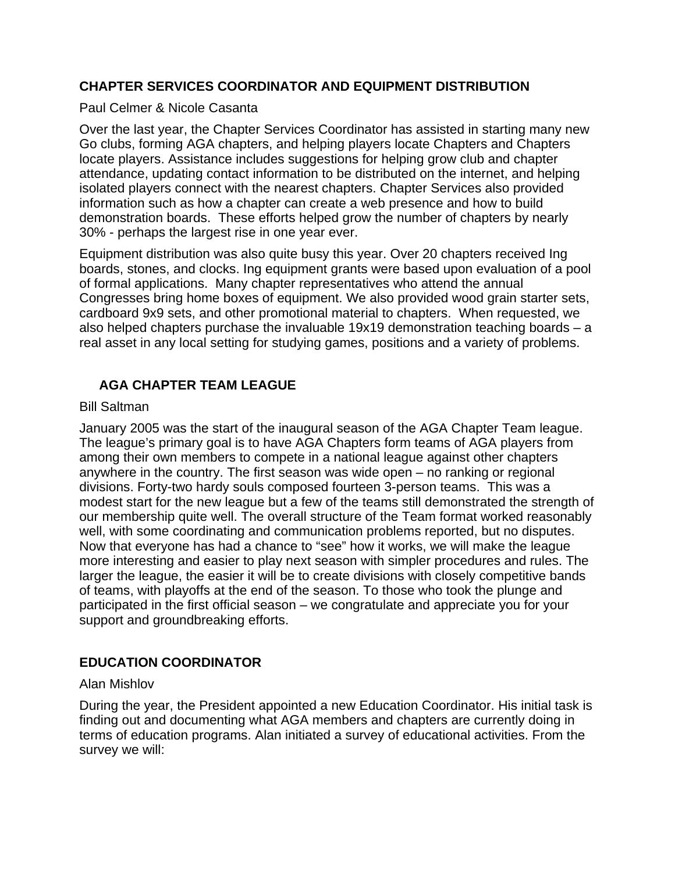# **CHAPTER SERVICES COORDINATOR AND EQUIPMENT DISTRIBUTION**

#### Paul Celmer & Nicole Casanta

Over the last year, the Chapter Services Coordinator has assisted in starting many new Go clubs, forming AGA chapters, and helping players locate Chapters and Chapters locate players. Assistance includes suggestions for helping grow club and chapter attendance, updating contact information to be distributed on the internet, and helping isolated players connect with the nearest chapters. Chapter Services also provided information such as how a chapter can create a web presence and how to build demonstration boards. These efforts helped grow the number of chapters by nearly 30% - perhaps the largest rise in one year ever.

Equipment distribution was also quite busy this year. Over 20 chapters received Ing boards, stones, and clocks. Ing equipment grants were based upon evaluation of a pool of formal applications. Many chapter representatives who attend the annual Congresses bring home boxes of equipment. We also provided wood grain starter sets, cardboard 9x9 sets, and other promotional material to chapters. When requested, we also helped chapters purchase the invaluable 19x19 demonstration teaching boards – a real asset in any local setting for studying games, positions and a variety of problems.

# **AGA CHAPTER TEAM LEAGUE**

#### Bill Saltman

January 2005 was the start of the inaugural season of the AGA Chapter Team league. The league's primary goal is to have AGA Chapters form teams of AGA players from among their own members to compete in a national league against other chapters anywhere in the country. The first season was wide open – no ranking or regional divisions. Forty-two hardy souls composed fourteen 3-person teams. This was a modest start for the new league but a few of the teams still demonstrated the strength of our membership quite well. The overall structure of the Team format worked reasonably well, with some coordinating and communication problems reported, but no disputes. Now that everyone has had a chance to "see" how it works, we will make the league more interesting and easier to play next season with simpler procedures and rules. The larger the league, the easier it will be to create divisions with closely competitive bands of teams, with playoffs at the end of the season. To those who took the plunge and participated in the first official season – we congratulate and appreciate you for your support and groundbreaking efforts.

# **EDUCATION COORDINATOR**

# Alan Mishlov

During the year, the President appointed a new Education Coordinator. His initial task is finding out and documenting what AGA members and chapters are currently doing in terms of education programs. Alan initiated a survey of educational activities. From the survey we will: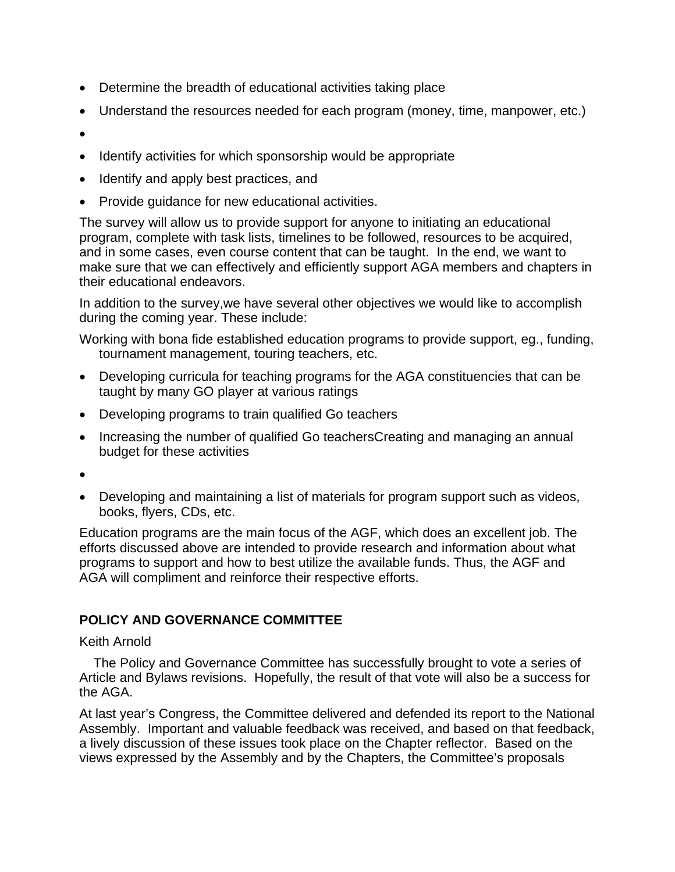- Determine the breadth of educational activities taking place
- Understand the resources needed for each program (money, time, manpower, etc.)
- •
- Identify activities for which sponsorship would be appropriate
- Identify and apply best practices, and
- Provide guidance for new educational activities.

The survey will allow us to provide support for anyone to initiating an educational program, complete with task lists, timelines to be followed, resources to be acquired, and in some cases, even course content that can be taught. In the end, we want to make sure that we can effectively and efficiently support AGA members and chapters in their educational endeavors.

In addition to the survey,we have several other objectives we would like to accomplish during the coming year. These include:

Working with bona fide established education programs to provide support, eg., funding, tournament management, touring teachers, etc.

- Developing curricula for teaching programs for the AGA constituencies that can be taught by many GO player at various ratings
- Developing programs to train qualified Go teachers
- Increasing the number of qualified Go teachersCreating and managing an annual budget for these activities
- •
- Developing and maintaining a list of materials for program support such as videos, books, flyers, CDs, etc.

Education programs are the main focus of the AGF, which does an excellent job. The efforts discussed above are intended to provide research and information about what programs to support and how to best utilize the available funds. Thus, the AGF and AGA will compliment and reinforce their respective efforts.

# **POLICY AND GOVERNANCE COMMITTEE**

#### Keith Arnold

The Policy and Governance Committee has successfully brought to vote a series of Article and Bylaws revisions. Hopefully, the result of that vote will also be a success for the AGA.

At last year's Congress, the Committee delivered and defended its report to the National Assembly. Important and valuable feedback was received, and based on that feedback, a lively discussion of these issues took place on the Chapter reflector. Based on the views expressed by the Assembly and by the Chapters, the Committee's proposals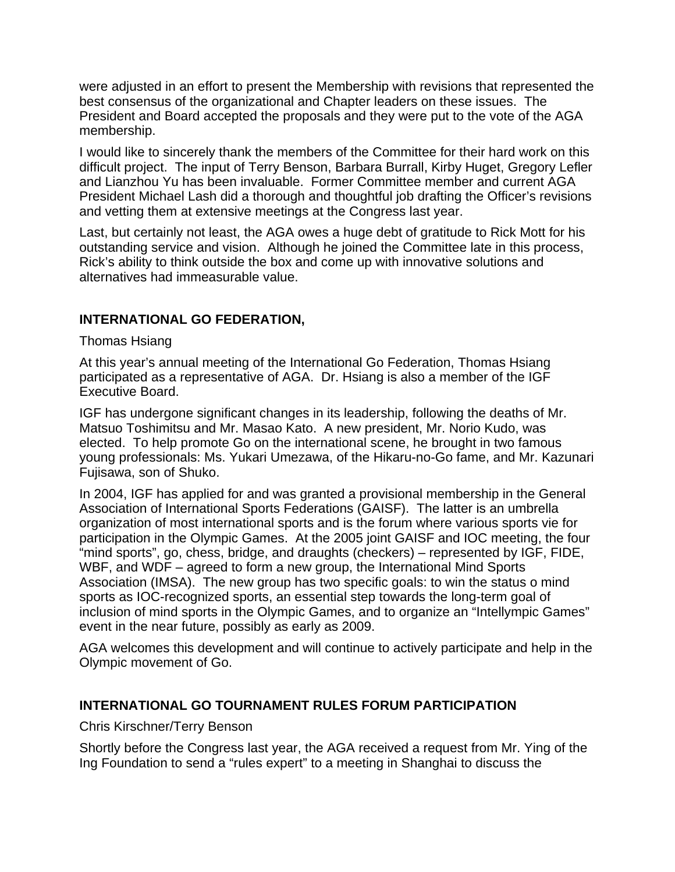were adjusted in an effort to present the Membership with revisions that represented the best consensus of the organizational and Chapter leaders on these issues. The President and Board accepted the proposals and they were put to the vote of the AGA membership.

I would like to sincerely thank the members of the Committee for their hard work on this difficult project. The input of Terry Benson, Barbara Burrall, Kirby Huget, Gregory Lefler and Lianzhou Yu has been invaluable. Former Committee member and current AGA President Michael Lash did a thorough and thoughtful job drafting the Officer's revisions and vetting them at extensive meetings at the Congress last year.

Last, but certainly not least, the AGA owes a huge debt of gratitude to Rick Mott for his outstanding service and vision. Although he joined the Committee late in this process, Rick's ability to think outside the box and come up with innovative solutions and alternatives had immeasurable value.

# **INTERNATIONAL GO FEDERATION,**

Thomas Hsiang

At this year's annual meeting of the International Go Federation, Thomas Hsiang participated as a representative of AGA. Dr. Hsiang is also a member of the IGF Executive Board.

IGF has undergone significant changes in its leadership, following the deaths of Mr. Matsuo Toshimitsu and Mr. Masao Kato. A new president, Mr. Norio Kudo, was elected. To help promote Go on the international scene, he brought in two famous young professionals: Ms. Yukari Umezawa, of the Hikaru-no-Go fame, and Mr. Kazunari Fujisawa, son of Shuko.

In 2004, IGF has applied for and was granted a provisional membership in the General Association of International Sports Federations (GAISF). The latter is an umbrella organization of most international sports and is the forum where various sports vie for participation in the Olympic Games. At the 2005 joint GAISF and IOC meeting, the four "mind sports", go, chess, bridge, and draughts (checkers) – represented by IGF, FIDE, WBF, and WDF – agreed to form a new group, the International Mind Sports Association (IMSA). The new group has two specific goals: to win the status o mind sports as IOC-recognized sports, an essential step towards the long-term goal of inclusion of mind sports in the Olympic Games, and to organize an "Intellympic Games" event in the near future, possibly as early as 2009.

AGA welcomes this development and will continue to actively participate and help in the Olympic movement of Go.

# **INTERNATIONAL GO TOURNAMENT RULES FORUM PARTICIPATION**

Chris Kirschner/Terry Benson

Shortly before the Congress last year, the AGA received a request from Mr. Ying of the Ing Foundation to send a "rules expert" to a meeting in Shanghai to discuss the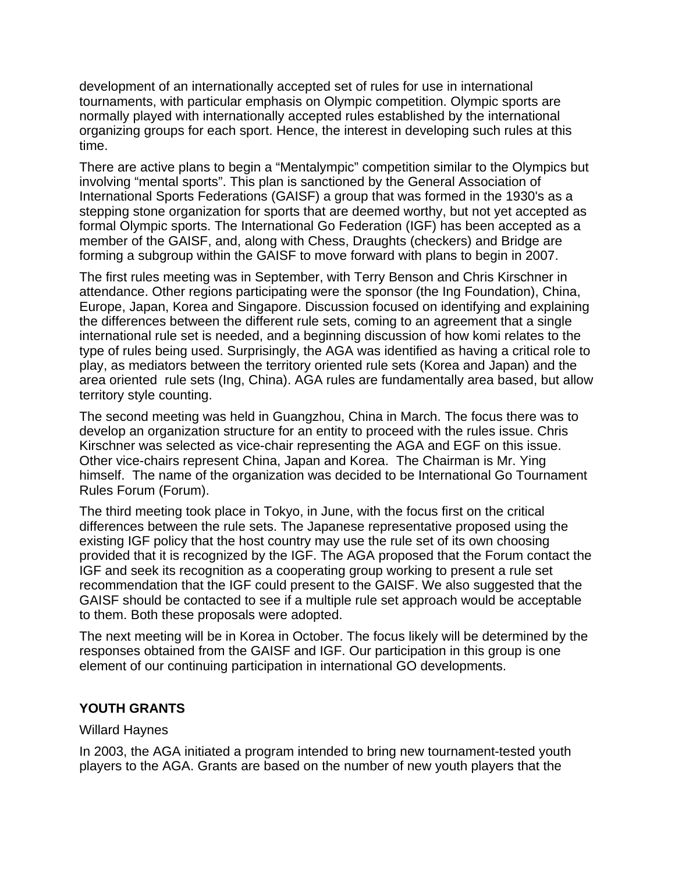development of an internationally accepted set of rules for use in international tournaments, with particular emphasis on Olympic competition. Olympic sports are normally played with internationally accepted rules established by the international organizing groups for each sport. Hence, the interest in developing such rules at this time.

There are active plans to begin a "Mentalympic" competition similar to the Olympics but involving "mental sports". This plan is sanctioned by the General Association of International Sports Federations (GAISF) a group that was formed in the 1930's as a stepping stone organization for sports that are deemed worthy, but not yet accepted as formal Olympic sports. The International Go Federation (IGF) has been accepted as a member of the GAISF, and, along with Chess, Draughts (checkers) and Bridge are forming a subgroup within the GAISF to move forward with plans to begin in 2007.

The first rules meeting was in September, with Terry Benson and Chris Kirschner in attendance. Other regions participating were the sponsor (the Ing Foundation), China, Europe, Japan, Korea and Singapore. Discussion focused on identifying and explaining the differences between the different rule sets, coming to an agreement that a single international rule set is needed, and a beginning discussion of how komi relates to the type of rules being used. Surprisingly, the AGA was identified as having a critical role to play, as mediators between the territory oriented rule sets (Korea and Japan) and the area oriented rule sets (Ing, China). AGA rules are fundamentally area based, but allow territory style counting.

The second meeting was held in Guangzhou, China in March. The focus there was to develop an organization structure for an entity to proceed with the rules issue. Chris Kirschner was selected as vice-chair representing the AGA and EGF on this issue. Other vice-chairs represent China, Japan and Korea. The Chairman is Mr. Ying himself. The name of the organization was decided to be International Go Tournament Rules Forum (Forum).

The third meeting took place in Tokyo, in June, with the focus first on the critical differences between the rule sets. The Japanese representative proposed using the existing IGF policy that the host country may use the rule set of its own choosing provided that it is recognized by the IGF. The AGA proposed that the Forum contact the IGF and seek its recognition as a cooperating group working to present a rule set recommendation that the IGF could present to the GAISF. We also suggested that the GAISF should be contacted to see if a multiple rule set approach would be acceptable to them. Both these proposals were adopted.

The next meeting will be in Korea in October. The focus likely will be determined by the responses obtained from the GAISF and IGF. Our participation in this group is one element of our continuing participation in international GO developments.

# **YOUTH GRANTS**

# Willard Haynes

In 2003, the AGA initiated a program intended to bring new tournament-tested youth players to the AGA. Grants are based on the number of new youth players that the